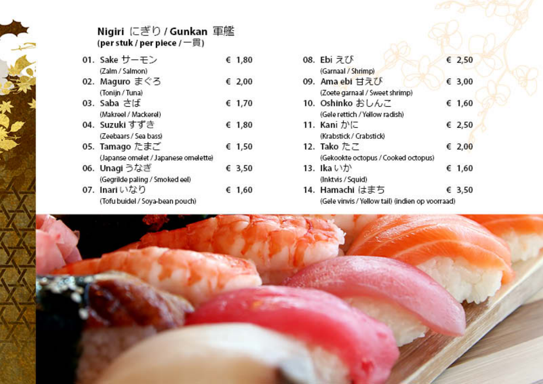| ì |   |
|---|---|
|   |   |
|   |   |
|   |   |
|   |   |
|   |   |
|   |   |
|   |   |
|   |   |
|   |   |
|   |   |
|   |   |
|   |   |
|   |   |
|   |   |
|   |   |
|   |   |
|   |   |
|   |   |
|   |   |
|   |   |
|   |   |
|   |   |
|   | ł |
|   |   |
|   |   |
|   |   |
|   |   |
|   |   |
|   |   |
|   |   |
|   |   |
|   |   |
|   |   |
|   |   |
|   |   |
|   |   |
|   |   |
|   |   |
|   |   |
|   |   |
|   |   |
|   |   |
|   |   |
|   |   |
|   |   |
|   |   |
|   |   |

# Nigiri にぎり / Gunkan 軍艦<br>(per stuk / per piece /一貫)

| 01. Sake サーモン                        | € 1,80 |
|--------------------------------------|--------|
| (Zalm / Salmon)                      |        |
| 02. Maguro まぐろ                       | € 2,00 |
| (Tonijn / Tuna)                      |        |
| 03. Saba さば                          | € 1,70 |
| (Makreel / Mackerel)                 |        |
| 04. Suzukiすずき                        | € 1,80 |
| (Zeebaars / Sea bass)                |        |
| 05. Tamago たまご                       | € 1,50 |
| (Japanse omelet / Japanese omelette) |        |
| 06. Unagi うなぎ                        | € 3,50 |
| (Gegrilde paling / Smoked eel)       |        |
| 07. Inari いなり                        | € 1,60 |
| (Tofu buidel / Sova-bean pouch)      |        |

| 08. Ebi えび                                       | € 2,50 |  |
|--------------------------------------------------|--------|--|
| (Garnaal / Shrimp)                               |        |  |
| 09. Ama ebi 甘えび                                  | € 3,00 |  |
| (Zoete garnaal / Sweet shrimp)                   |        |  |
| 10. Oshinko おしんこ                                 | € 1,60 |  |
| (Gele rettich / Yellow radish)                   |        |  |
| 11. Kani かに                                      | € 2,50 |  |
| (Krabstick / Crabstick)                          |        |  |
| 12. Tako たこ                                      | € 2,00 |  |
| (Gekookte octopus / Cooked octopus)              |        |  |
| 13. Ika いか                                       | € 1,60 |  |
| (Inktvis / Squid)                                |        |  |
| 14. Hamachi はまち                                  | € 3.50 |  |
| (Gele vinvis / Yellow tail) (indien op voorraad) |        |  |

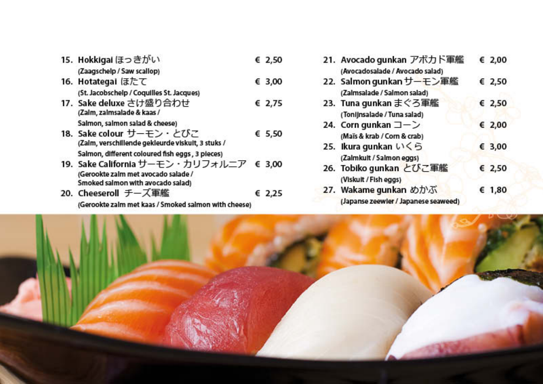15. Hokkigai ほっきがい € 2,50

### (Zaagschelp / Saw scallop)

- 16. Hotategal ほたて € 3,00 (St. Jacobschelp / Coquilles St. Jacques) 17. Sake deluxe さけ盛り合わせ € 2,75 (Zalm, zalmsalade & kaas / Salmon, salmon salad & cheese) 18. Sake colour サーモン・とびこ € 5,50 (Zalm, verschillende gekleurde viskult, 3 stuks / Salmon, different coloured fish eggs, 3 pieces) 19. Sake California サーモン・カリフォルニア € 3,00 (Gerookte zalm met avocado salade /
- Smoked salmon with avocado salad) 20. Cheeseroll チーズ軍艦 € 2,25

(Gerookte zalm met kaas / Smoked salmon with cheese)

| 21. Avocado gunkan アボカド軍艦            | € 2,00 |  |
|--------------------------------------|--------|--|
| (Avocadosalade / Avocado salad)      |        |  |
| 22. Salmon gunkan サーモン軍艦             | € 2,50 |  |
| (Zalmsalade / Salmon salad)          |        |  |
| 23. Tuna gunkan まぐろ軍艦                | € 2,50 |  |
| (Tonijnsalade / Tuna salad)          |        |  |
| 24. Corn gunkan コーン                  | € 2,00 |  |
| (Maïs & krab / Corn & crab)          |        |  |
| 25. Ikura gunkan いくら                 | € 3,00 |  |
| (Zalmkult / Salmon eggs)             |        |  |
| 26. Tobiko gunkan とびこ軍艦              | € 2,50 |  |
| (Viskuit / Fish eggs)                |        |  |
| 27. Wakame gunkan めかぶ                | € 1,80 |  |
| (Japanse zeewler / Japanese seaweed) |        |  |
|                                      |        |  |

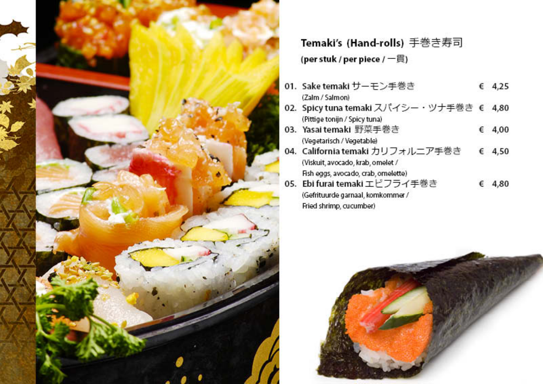

Temaki's (Hand-rolls) 手巻き寿司 (per stuk / per piece / 一貫)

- 01. Sake temaki サーモン手巻き € 4,25 (Zalm / Salmon)
- 02. Spicy tuna temaki スパイシー・ツナ手巻き € 4,80 (Pittige tonijn / Spicy tuna)
- 03. Yasai temaki 野菜手巻き € 4,00 (Vegetarisch / Vegetable)
- 04. California temaki カリフォルニア手巻き € 4,50 (Viskuit, avocado, krab, omelet / Fish eggs, avocado, crab, omelette)
- 05. Ebi furai temaki エビフライ手巻き € 4,80 (Gefrituurde garnaal, komkommer / Fried shrimp, cucumber)

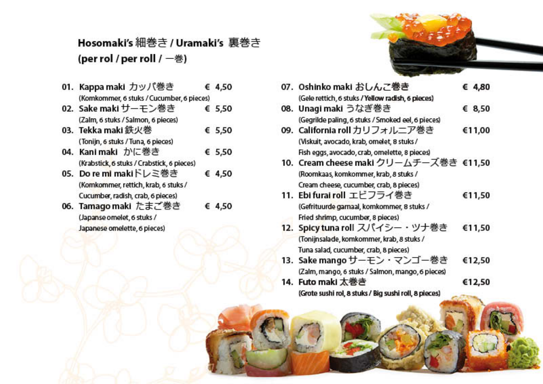# Hosomaki's 細巻き / Uramaki's 裏巻き (per rol / per roll / 一巻)

| 01. Kappa maki カッパ巻き                       | € 4.50 |
|--------------------------------------------|--------|
| (Komkommer, 6 stuks / Cucumber, 6 pieces)  |        |
| 02. Sake maki サーモン巻き                       | € 5,50 |
| (Zalm, 6 stuks / Salmon, 6 pieces)         |        |
| 03. Tekka maki 鉄火巻                         | € 5,50 |
| (Tonijn, 6 stuks / Tuna, 6 pieces)         |        |
| 04. Kanimaki かに巻き                          | € 5.50 |
| (Krabstick, 6 stuks / Crabstick, 6 pieces) |        |
| 05. Do re mi makiドレミ巻き                     | € 4.50 |
| (Komkommer, rettich, krab, 6 stuks /       |        |
| Cucumber, radish, crab, 6 pieces)          |        |
| 06. Tamago maki たまご巻き                      | 4.50   |

(Japanse omelet, 6 stuks / Japanese omelette, 6 pieces)



| 07. Oshinko maki おしんこ巻き                               | € 4.80 |
|-------------------------------------------------------|--------|
| (Gele rettich, 6 stuks / Yellow radish, 6 pieces)     |        |
| 08. Unagi maki うなぎ巻き                                  | € 8,50 |
| (Gegrilde paling, 6 stuks / Smoked eel, 6 pieces)     |        |
| 09. California roll カリフォルニア巻き                         | €11,00 |
| (Viskuit, avocado, krab, omelet, 8 stuks /            |        |
| Fish eggs, avocado, crab, omelette, 8 pieces)         |        |
| 10. Cream cheese maki クリームチーズ巻き €11,50                |        |
| (Roomkaas, komkommer, krab, 8 stuks /                 |        |
| Cream cheese, cucumber, crab, 8 pieces)               |        |
| 11. Ebi furai roll エビフライ巻き                            | €11,50 |
| (Gefrituurde garnaal, komkommer, 8 stuks /            |        |
| Fried shrimp, cucumber, 8 pieces)                     |        |
| 12. Spicy tuna roll スパイシー・ツナ巻き                        | €11,50 |
| (Tonijnsalade, komkommer, krab, 8 stuks /             |        |
| Tuna salad, cucumber, crab, 8 pieces)                 |        |
| 13. Sake mango サーモン・マンゴー巻き                            | €12,50 |
| (Zalm, mango, 6 stuks / Salmon, mango, 6 pieces)      |        |
| 14. Futo maki 太巻き                                     | €12,50 |
| (Grote sushi rol, 8 stuks / Big sushi roll, 8 pieces) |        |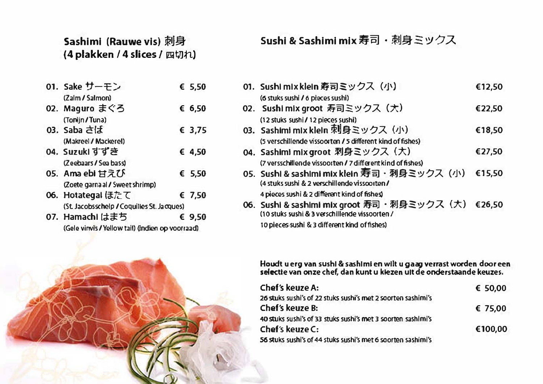# Sashimi (Rauwe vis) 刺身 (4 plakken / 4 slices / 四切れ)

- 01. Sake  $t$ - $\mp$ ) € 5.50 (Zalm / Salmon)
- 02. Maguro まぐろ € 6,50 (Tonlin/Tuna) 03. Saba  $\pm 1.5$ € 3.75
- (Makreel / Mackerel) 04. Suzuki 항공 € 4,50 (Zeebaars / Sea bass)
- 05. Ama ebi  $\sharp \exists 75$ € 5,50 (Zoete garna al / Sweet shrimp)
- € 7.50 06. Hotategal ほたて (St. Jacobsschelp / Coquilles St. Jacques)
- 07. Hamachi はまち  $69.50$

(Gele virwls / Yellow tail) (indien op voorraad)



|  | 01. Sushi mix klein 寿司ミックス (小)                             | €12,50 |
|--|------------------------------------------------------------|--------|
|  | (6 stuks sushi / 6 pieces sushi)                           |        |
|  | 02. Sushi mix groot 寿司ミックス(大)                              | €22,50 |
|  | (12 stuks sushi/12 pieces sushi)                           |        |
|  | 03. Sashimi mix klein 刺身ミックス (小)                           | €18,50 |
|  | (5 verschillende vissoorten / 5 different kind of fishes)  |        |
|  | 04. Sashimi mix groot 刺身ミックス (大)                           | €27,50 |
|  | (7 versschillende vissoorten / 7 different kind of fishes) |        |
|  | 05. Sushi & sashimi mix klein 寿司· 刺身ミックス (小)               | €15,50 |
|  | (4 stuks sushi & 2 verschillende vissoorten/               |        |
|  | 4 pieces sushi & 2 different kind of fishes                |        |
|  | 06. Sushi & sashimi mix groot 寿司・刺身ミックス(大)                 | €26,50 |
|  | (10 stuks sushi & 3 verschillende vissoorten /             |        |

10 pieces sushi & 3 different kind of fishes)

Houdt u erg van sushi & sashimi en wilt u gaag verrast worden door een selectie van onze chef, dan kunt u klezen uit de onderstaande keuzes.

| Chef's keuze A:                                              | 650.00  |
|--------------------------------------------------------------|---------|
| 26 stuks sushi's of 22 stuks sushi's met 2 soorten sashimi's |         |
| Chef's keuze B:                                              | £75,00  |
| 40 Stuks sushi's of 33 stuks sushi's met 3 soorten sashimi's |         |
| Chef's keuze C:                                              | €100.00 |
| 56 stuks sushi's of 44 stuks sushi's met 6 soorten sashimi's |         |

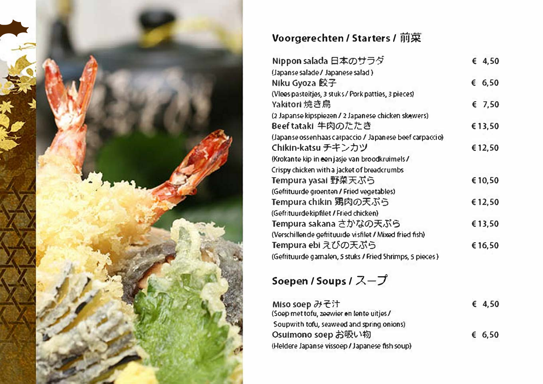

| Nippon salada 日本のサラダ                                     | 64.50   |
|----------------------------------------------------------|---------|
| (Japanse salade / Japanese salad)                        |         |
| Niku Gyoza 餃子                                            | 6,50    |
| (Viees pasteitjes, 3 stuks / Pork patties, 3 pieces)     |         |
| Yakitori 焼き鳥                                             | 67,50   |
| (2 Japanse kipspiezen / 2 Japanese chicken skewers)      |         |
| Beeftataki 牛肉のたたき                                        | €13,50  |
| (Japanse ossenhaas carpaccio / Japanese beef carpaccio)  |         |
| Chikin-katsu チキンカツ                                       | €12,50  |
| (Krokante kip in een jasje van broodkruimels/            |         |
| Crispy chicken with a jacket of breadcrumbs              |         |
| Tempura yasal 野梨天ぷら                                      | €10,50  |
| (Gefrituurde groenten / Fried vegetables)                |         |
| Tempura chikin 男肉の天ぷら                                    | €12,50  |
| (Gefrituurdekipfilet / Fried chicken)                    |         |
| Tempura sakana さかなの天ぷら                                   | €13,50  |
| (Verschillen de gefrituurde visfilet / Mixed fried fish) |         |
| Tempura ebi えびの天ぷら                                       | € 16,50 |
| (Gefrituurde gamalen, 5 stuks / Fried Shrimps, 5 pieces) |         |

# Soepen / Soups / スープ

| Miso soep みそ汁                                  | 64,50 |
|------------------------------------------------|-------|
| (Soep met tofu, zeevier en lente uitjes/       |       |
| Soupwith tofu, seaweed and spring onions)      |       |
| Osuimono soepお吸い物                              | 6.50  |
| (Heldere Japanse vissoep / Japanese fish soup) |       |